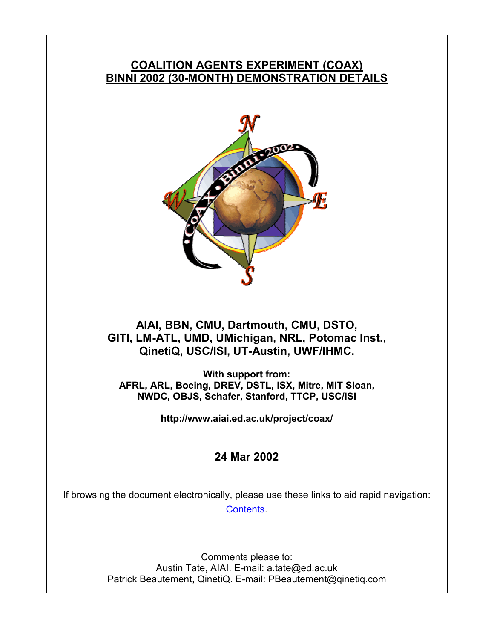# **COALITION AGENTS EXPERIMENT (COAX) BINNI 2002 (30-MONTH) DEMONSTRATION DETAILS**



# **AIAI, BBN, CMU, Dartmouth, CMU, DSTO, GITI, LM-ATL, UMD, UMichigan, NRL, Potomac Inst., QinetiQ, USC/ISI, UT-Austin, UWF/IHMC.**

**With support from: AFRL, ARL, Boeing, DREV, DSTL, ISX, Mitre, MIT Sloan, NWDC, OBJS, Schafer, Stanford, TTCP, USC/ISI** 

**http://www.aiai.ed.ac.uk/project/coax/** 

# **24 Mar 2002**

If browsing the document electronically, please use these links to aid rapid navigation: Contents.

> Comments please to: Austin Tate, AIAI. E-mail: a.tate@ed.ac.uk Patrick Beautement, QinetiQ. E-mail: PBeautement@qinetiq.com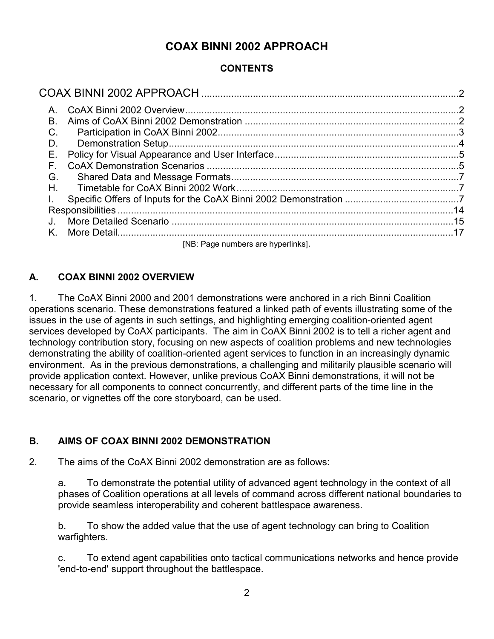# **COAX BINNI 2002 APPROACH**

# **CONTENTS**

| A. |                                    |  |
|----|------------------------------------|--|
| B. |                                    |  |
| C. |                                    |  |
| D. |                                    |  |
| Е. |                                    |  |
| F. |                                    |  |
| G. |                                    |  |
| Н. |                                    |  |
|    |                                    |  |
|    |                                    |  |
|    |                                    |  |
| K. |                                    |  |
|    | [NB: Page numbers are hyperlinks]. |  |

# **A. COAX BINNI 2002 OVERVIEW**

1. The CoAX Binni 2000 and 2001 demonstrations were anchored in a rich Binni Coalition operations scenario. These demonstrations featured a linked path of events illustrating some of the issues in the use of agents in such settings, and highlighting emerging coalition-oriented agent services developed by CoAX participants. The aim in CoAX Binni 2002 is to tell a richer agent and technology contribution story, focusing on new aspects of coalition problems and new technologies demonstrating the ability of coalition-oriented agent services to function in an increasingly dynamic environment. As in the previous demonstrations, a challenging and militarily plausible scenario will provide application context. However, unlike previous CoAX Binni demonstrations, it will not be necessary for all components to connect concurrently, and different parts of the time line in the scenario, or vignettes off the core storyboard, can be used.

# **B. AIMS OF COAX BINNI 2002 DEMONSTRATION**

2. The aims of the CoAX Binni 2002 demonstration are as follows:

a. To demonstrate the potential utility of advanced agent technology in the context of all phases of Coalition operations at all levels of command across different national boundaries to provide seamless interoperability and coherent battlespace awareness.

b. To show the added value that the use of agent technology can bring to Coalition warfighters.

c. To extend agent capabilities onto tactical communications networks and hence provide 'end-to-end' support throughout the battlespace.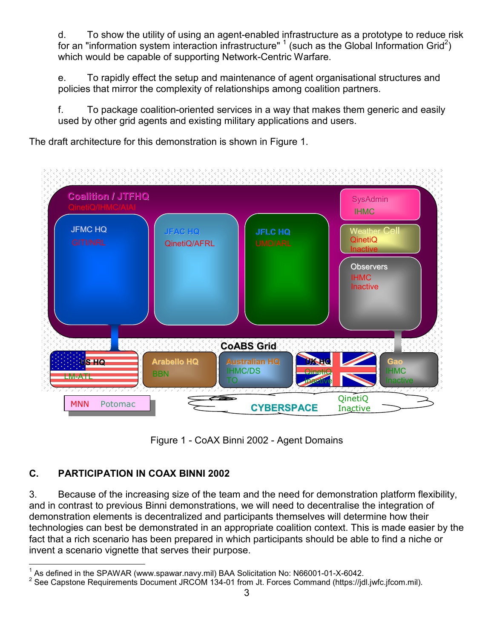d. To show the utility of using an agent-enabled infrastructure as a prototype to reduce risk for an "information system interaction infrastructure"  $\textsuperscript{1}$  (such as the Global Information Grid<sup>2</sup>) which would be capable of supporting Network-Centric Warfare.

e. To rapidly effect the setup and maintenance of agent organisational structures and policies that mirror the complexity of relationships among coalition partners.

f. To package coalition-oriented services in a way that makes them generic and easily used by other grid agents and existing military applications and users.

The draft architecture for this demonstration is shown in Figure 1.





# **C. PARTICIPATION IN COAX BINNI 2002**

3. Because of the increasing size of the team and the need for demonstration platform flexibility, and in contrast to previous Binni demonstrations, we will need to decentralise the integration of demonstration elements is decentralized and participants themselves will determine how their technologies can best be demonstrated in an appropriate coalition context. This is made easier by the fact that a rich scenario has been prepared in which participants should be able to find a niche or invent a scenario vignette that serves their purpose.

 1 As defined in the SPAWAR (www.spawar.navy.mil) BAA Solicitation No: N66001-01-X-6042.

<sup>&</sup>lt;sup>2</sup> See Capstone Requirements Document JRCOM 134-01 from Jt. Forces Command (https://jdl.jwfc.jfcom.mil).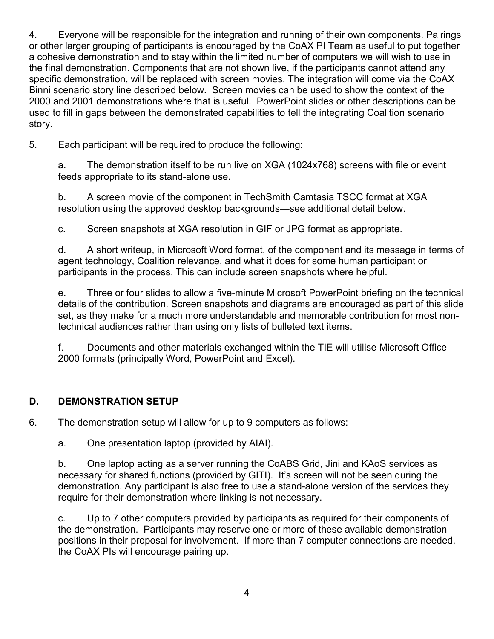4. Everyone will be responsible for the integration and running of their own components. Pairings or other larger grouping of participants is encouraged by the CoAX PI Team as useful to put together a cohesive demonstration and to stay within the limited number of computers we will wish to use in the final demonstration. Components that are not shown live, if the participants cannot attend any specific demonstration, will be replaced with screen movies. The integration will come via the CoAX Binni scenario story line described below. Screen movies can be used to show the context of the 2000 and 2001 demonstrations where that is useful. PowerPoint slides or other descriptions can be used to fill in gaps between the demonstrated capabilities to tell the integrating Coalition scenario story.

5. Each participant will be required to produce the following:

a. The demonstration itself to be run live on XGA (1024x768) screens with file or event feeds appropriate to its stand-alone use.

b. A screen movie of the component in TechSmith Camtasia TSCC format at XGA resolution using the approved desktop backgrounds—see additional detail below.

c. Screen snapshots at XGA resolution in GIF or JPG format as appropriate.

d. A short writeup, in Microsoft Word format, of the component and its message in terms of agent technology, Coalition relevance, and what it does for some human participant or participants in the process. This can include screen snapshots where helpful.

e. Three or four slides to allow a five-minute Microsoft PowerPoint briefing on the technical details of the contribution. Screen snapshots and diagrams are encouraged as part of this slide set, as they make for a much more understandable and memorable contribution for most nontechnical audiences rather than using only lists of bulleted text items.

f. Documents and other materials exchanged within the TIE will utilise Microsoft Office 2000 formats (principally Word, PowerPoint and Excel).

# **D. DEMONSTRATION SETUP**

6. The demonstration setup will allow for up to 9 computers as follows:

a. One presentation laptop (provided by AIAI).

b. One laptop acting as a server running the CoABS Grid, Jini and KAoS services as necessary for shared functions (provided by GITI). It's screen will not be seen during the demonstration. Any participant is also free to use a stand-alone version of the services they require for their demonstration where linking is not necessary.

c. Up to 7 other computers provided by participants as required for their components of the demonstration. Participants may reserve one or more of these available demonstration positions in their proposal for involvement. If more than 7 computer connections are needed, the CoAX PIs will encourage pairing up.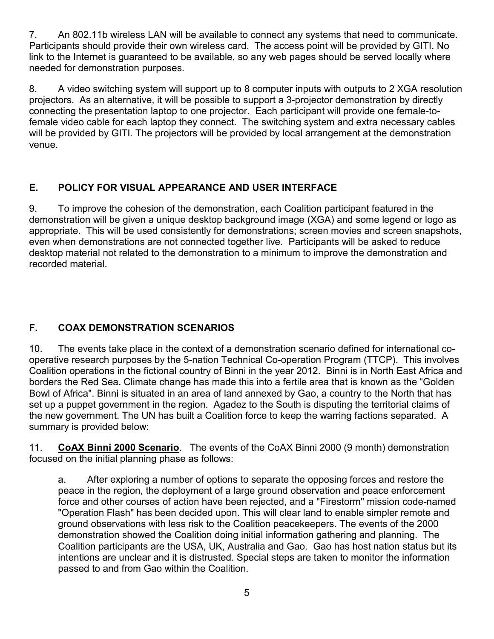7. An 802.11b wireless LAN will be available to connect any systems that need to communicate. Participants should provide their own wireless card. The access point will be provided by GITI. No link to the Internet is guaranteed to be available, so any web pages should be served locally where needed for demonstration purposes.

8. A video switching system will support up to 8 computer inputs with outputs to 2 XGA resolution projectors. As an alternative, it will be possible to support a 3-projector demonstration by directly connecting the presentation laptop to one projector. Each participant will provide one female-tofemale video cable for each laptop they connect. The switching system and extra necessary cables will be provided by GITI. The projectors will be provided by local arrangement at the demonstration venue.

# **E. POLICY FOR VISUAL APPEARANCE AND USER INTERFACE**

9. To improve the cohesion of the demonstration, each Coalition participant featured in the demonstration will be given a unique desktop background image (XGA) and some legend or logo as appropriate. This will be used consistently for demonstrations; screen movies and screen snapshots, even when demonstrations are not connected together live. Participants will be asked to reduce desktop material not related to the demonstration to a minimum to improve the demonstration and recorded material.

# **F. COAX DEMONSTRATION SCENARIOS**

10. The events take place in the context of a demonstration scenario defined for international cooperative research purposes by the 5-nation Technical Co-operation Program (TTCP). This involves Coalition operations in the fictional country of Binni in the year 2012. Binni is in North East Africa and borders the Red Sea. Climate change has made this into a fertile area that is known as the "Golden Bowl of Africa". Binni is situated in an area of land annexed by Gao, a country to the North that has set up a puppet government in the region. Agadez to the South is disputing the territorial claims of the new government. The UN has built a Coalition force to keep the warring factions separated. A summary is provided below:

11. **CoAX Binni 2000 Scenario**. The events of the CoAX Binni 2000 (9 month) demonstration focused on the initial planning phase as follows:

a. After exploring a number of options to separate the opposing forces and restore the peace in the region, the deployment of a large ground observation and peace enforcement force and other courses of action have been rejected, and a "Firestorm" mission code-named "Operation Flash" has been decided upon. This will clear land to enable simpler remote and ground observations with less risk to the Coalition peacekeepers. The events of the 2000 demonstration showed the Coalition doing initial information gathering and planning. The Coalition participants are the USA, UK, Australia and Gao. Gao has host nation status but its intentions are unclear and it is distrusted. Special steps are taken to monitor the information passed to and from Gao within the Coalition.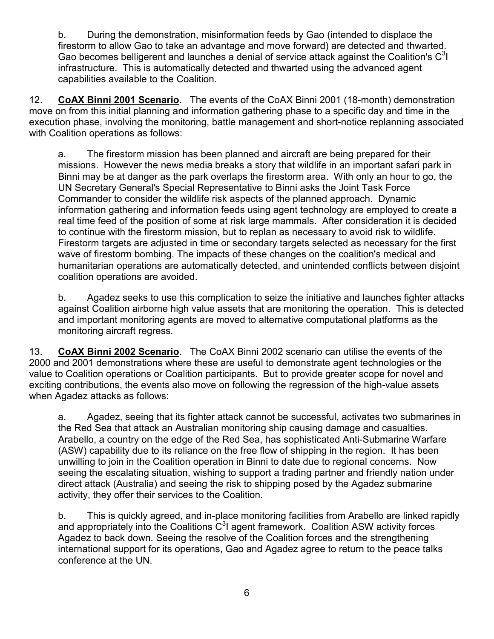b. During the demonstration, misinformation feeds by Gao (intended to displace the firestorm to allow Gao to take an advantage and move forward) are detected and thwarted. Gao becomes belligerent and launches a denial of service attack against the Coalition's  $C<sup>3</sup>$ infrastructure. This is automatically detected and thwarted using the advanced agent capabilities available to the Coalition.

12. **CoAX Binni 2001 Scenario**. The events of the CoAX Binni 2001 (18-month) demonstration move on from this initial planning and information gathering phase to a specific day and time in the execution phase, involving the monitoring, battle management and short-notice replanning associated with Coalition operations as follows:

a. The firestorm mission has been planned and aircraft are being prepared for their missions. However the news media breaks a story that wildlife in an important safari park in Binni may be at danger as the park overlaps the firestorm area. With only an hour to go, the UN Secretary General's Special Representative to Binni asks the Joint Task Force Commander to consider the wildlife risk aspects of the planned approach. Dynamic information gathering and information feeds using agent technology are employed to create a real time feed of the position of some at risk large mammals. After consideration it is decided to continue with the firestorm mission, but to replan as necessary to avoid risk to wildlife. Firestorm targets are adjusted in time or secondary targets selected as necessary for the first wave of firestorm bombing. The impacts of these changes on the coalition's medical and humanitarian operations are automatically detected, and unintended conflicts between disjoint coalition operations are avoided.

b. Agadez seeks to use this complication to seize the initiative and launches fighter attacks against Coalition airborne high value assets that are monitoring the operation. This is detected and important monitoring agents are moved to alternative computational platforms as the monitoring aircraft regress.

13. **CoAX Binni 2002 Scenario**. The CoAX Binni 2002 scenario can utilise the events of the 2000 and 2001 demonstrations where these are useful to demonstrate agent technologies or the value to Coalition operations or Coalition participants. But to provide greater scope for novel and exciting contributions, the events also move on following the regression of the high-value assets when Agadez attacks as follows:

a. Agadez, seeing that its fighter attack cannot be successful, activates two submarines in the Red Sea that attack an Australian monitoring ship causing damage and casualties. Arabello, a country on the edge of the Red Sea, has sophisticated Anti-Submarine Warfare (ASW) capability due to its reliance on the free flow of shipping in the region. It has been unwilling to join in the Coalition operation in Binni to date due to regional concerns. Now seeing the escalating situation, wishing to support a trading partner and friendly nation under direct attack (Australia) and seeing the risk to shipping posed by the Agadez submarine activity, they offer their services to the Coalition.

b. This is quickly agreed, and in-place monitoring facilities from Arabello are linked rapidly and appropriately into the Coalitions  $C^3$  agent framework. Coalition ASW activity forces Agadez to back down. Seeing the resolve of the Coalition forces and the strengthening international support for its operations, Gao and Agadez agree to return to the peace talks conference at the UN.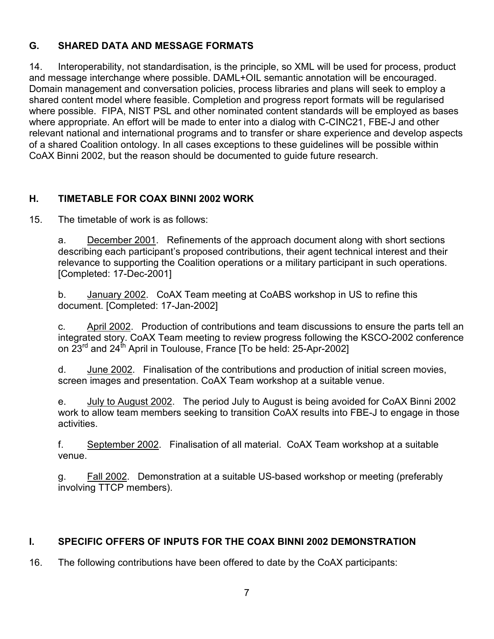## **G. SHARED DATA AND MESSAGE FORMATS**

14. Interoperability, not standardisation, is the principle, so XML will be used for process, product and message interchange where possible. DAML+OIL semantic annotation will be encouraged. Domain management and conversation policies, process libraries and plans will seek to employ a shared content model where feasible. Completion and progress report formats will be regularised where possible. FIPA, NIST PSL and other nominated content standards will be employed as bases where appropriate. An effort will be made to enter into a dialog with C-CINC21, FBE-J and other relevant national and international programs and to transfer or share experience and develop aspects of a shared Coalition ontology. In all cases exceptions to these guidelines will be possible within CoAX Binni 2002, but the reason should be documented to guide future research.

## **H. TIMETABLE FOR COAX BINNI 2002 WORK**

15. The timetable of work is as follows:

a. December 2001. Refinements of the approach document along with short sections describing each participant's proposed contributions, their agent technical interest and their relevance to supporting the Coalition operations or a military participant in such operations. [Completed: 17-Dec-2001]

b. January 2002. CoAX Team meeting at CoABS workshop in US to refine this document. [Completed: 17-Jan-2002]

c. April 2002. Production of contributions and team discussions to ensure the parts tell an integrated story. CoAX Team meeting to review progress following the KSCO-2002 conference on 23<sup>rd</sup> and 24<sup>th</sup> April in Toulouse, France [To be held: 25-Apr-2002]

d. June 2002. Finalisation of the contributions and production of initial screen movies, screen images and presentation. CoAX Team workshop at a suitable venue.

e. July to August 2002. The period July to August is being avoided for CoAX Binni 2002 work to allow team members seeking to transition CoAX results into FBE-J to engage in those activities.

f. September 2002. Finalisation of all material. CoAX Team workshop at a suitable venue.

g. Fall 2002. Demonstration at a suitable US-based workshop or meeting (preferably involving TTCP members).

#### **I. SPECIFIC OFFERS OF INPUTS FOR THE COAX BINNI 2002 DEMONSTRATION**

16. The following contributions have been offered to date by the CoAX participants: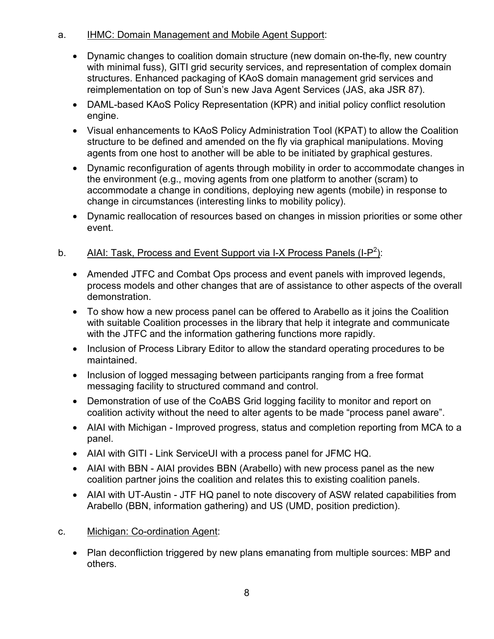## a. IHMC: Domain Management and Mobile Agent Support:

- Dynamic changes to coalition domain structure (new domain on-the-fly, new country with minimal fuss), GITI grid security services, and representation of complex domain structures. Enhanced packaging of KAoS domain management grid services and reimplementation on top of Sun's new Java Agent Services (JAS, aka JSR 87).
- DAML-based KAoS Policy Representation (KPR) and initial policy conflict resolution engine.
- Visual enhancements to KAoS Policy Administration Tool (KPAT) to allow the Coalition structure to be defined and amended on the fly via graphical manipulations. Moving agents from one host to another will be able to be initiated by graphical gestures.
- Dynamic reconfiguration of agents through mobility in order to accommodate changes in the environment (e.g., moving agents from one platform to another (scram) to accommodate a change in conditions, deploying new agents (mobile) in response to change in circumstances (interesting links to mobility policy).
- Dynamic reallocation of resources based on changes in mission priorities or some other event.

# b. AIAI: Task, Process and Event Support via I-X Process Panels (I-P<sup>2</sup>):

- Amended JTFC and Combat Ops process and event panels with improved legends, process models and other changes that are of assistance to other aspects of the overall demonstration.
- To show how a new process panel can be offered to Arabello as it joins the Coalition with suitable Coalition processes in the library that help it integrate and communicate with the JTFC and the information gathering functions more rapidly.
- Inclusion of Process Library Editor to allow the standard operating procedures to be maintained.
- Inclusion of logged messaging between participants ranging from a free format messaging facility to structured command and control.
- Demonstration of use of the CoABS Grid logging facility to monitor and report on coalition activity without the need to alter agents to be made "process panel aware".
- AIAI with Michigan Improved progress, status and completion reporting from MCA to a panel.
- AIAI with GITI Link ServiceUI with a process panel for JFMC HQ.
- AIAI with BBN AIAI provides BBN (Arabello) with new process panel as the new coalition partner joins the coalition and relates this to existing coalition panels.
- AIAI with UT-Austin JTF HQ panel to note discovery of ASW related capabilities from Arabello (BBN, information gathering) and US (UMD, position prediction).

# c. Michigan: Co-ordination Agent:

• Plan deconfliction triggered by new plans emanating from multiple sources: MBP and others.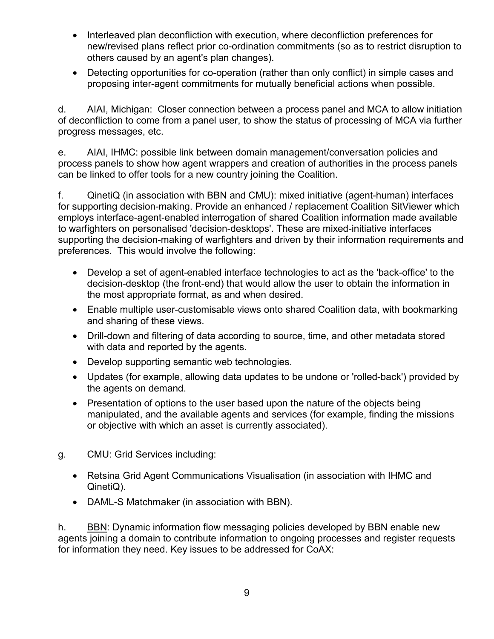- Interleaved plan deconfliction with execution, where deconfliction preferences for new/revised plans reflect prior co-ordination commitments (so as to restrict disruption to others caused by an agent's plan changes).
- Detecting opportunities for co-operation (rather than only conflict) in simple cases and proposing inter-agent commitments for mutually beneficial actions when possible.

d. AIAI, Michigan: Closer connection between a process panel and MCA to allow initiation of deconfliction to come from a panel user, to show the status of processing of MCA via further progress messages, etc.

e. AIAI, IHMC: possible link between domain management/conversation policies and process panels to show how agent wrappers and creation of authorities in the process panels can be linked to offer tools for a new country joining the Coalition.

f. QinetiQ (in association with BBN and CMU): mixed initiative (agent-human) interfaces for supporting decision-making. Provide an enhanced / replacement Coalition SitViewer which employs interface-agent-enabled interrogation of shared Coalition information made available to warfighters on personalised 'decision-desktops'. These are mixed-initiative interfaces supporting the decision-making of warfighters and driven by their information requirements and preferences. This would involve the following:

- Develop a set of agent-enabled interface technologies to act as the 'back-office' to the decision-desktop (the front-end) that would allow the user to obtain the information in the most appropriate format, as and when desired.
- Enable multiple user-customisable views onto shared Coalition data, with bookmarking and sharing of these views.
- Drill-down and filtering of data according to source, time, and other metadata stored with data and reported by the agents.
- Develop supporting semantic web technologies.
- Updates (for example, allowing data updates to be undone or 'rolled-back') provided by the agents on demand.
- Presentation of options to the user based upon the nature of the objects being manipulated, and the available agents and services (for example, finding the missions or objective with which an asset is currently associated).
- g. CMU: Grid Services including:
	- Retsina Grid Agent Communications Visualisation (in association with IHMC and QinetiQ).
	- DAML-S Matchmaker (in association with BBN).

h. BBN: Dynamic information flow messaging policies developed by BBN enable new agents joining a domain to contribute information to ongoing processes and register requests for information they need. Key issues to be addressed for CoAX: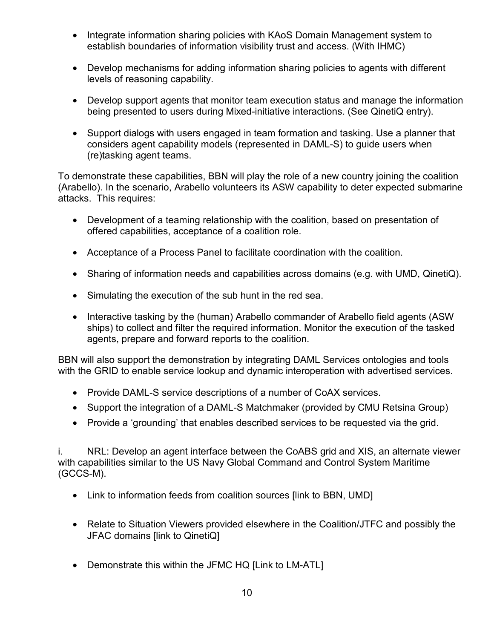- Integrate information sharing policies with KAoS Domain Management system to establish boundaries of information visibility trust and access. (With IHMC)
- Develop mechanisms for adding information sharing policies to agents with different levels of reasoning capability.
- Develop support agents that monitor team execution status and manage the information being presented to users during Mixed-initiative interactions. (See QinetiQ entry).
- Support dialogs with users engaged in team formation and tasking. Use a planner that considers agent capability models (represented in DAML-S) to guide users when (re)tasking agent teams.

To demonstrate these capabilities, BBN will play the role of a new country joining the coalition (Arabello). In the scenario, Arabello volunteers its ASW capability to deter expected submarine attacks. This requires:

- Development of a teaming relationship with the coalition, based on presentation of offered capabilities, acceptance of a coalition role.
- Acceptance of a Process Panel to facilitate coordination with the coalition.
- Sharing of information needs and capabilities across domains (e.g. with UMD, QinetiQ).
- Simulating the execution of the sub hunt in the red sea.
- Interactive tasking by the (human) Arabello commander of Arabello field agents (ASW ships) to collect and filter the required information. Monitor the execution of the tasked agents, prepare and forward reports to the coalition.

BBN will also support the demonstration by integrating DAML Services ontologies and tools with the GRID to enable service lookup and dynamic interoperation with advertised services.

- Provide DAML-S service descriptions of a number of CoAX services.
- Support the integration of a DAML-S Matchmaker (provided by CMU Retsina Group)
- Provide a 'grounding' that enables described services to be requested via the grid.

i. NRL: Develop an agent interface between the CoABS grid and XIS, an alternate viewer with capabilities similar to the US Navy Global Command and Control System Maritime (GCCS-M).

- Link to information feeds from coalition sources [link to BBN, UMD]
- Relate to Situation Viewers provided elsewhere in the Coalition/JTFC and possibly the JFAC domains [link to QinetiQ]
- Demonstrate this within the JFMC HQ [Link to LM-ATL]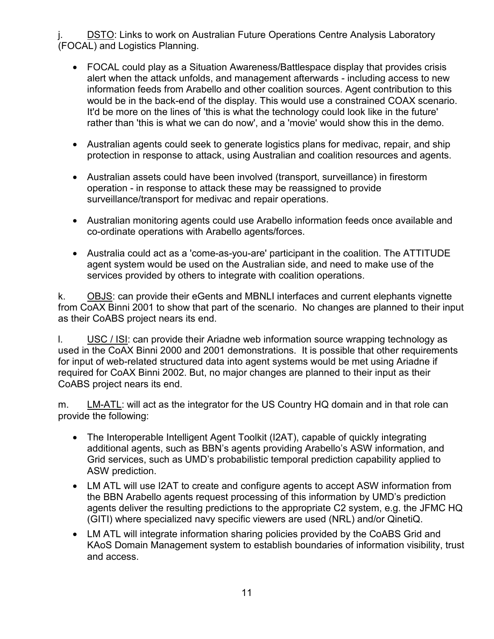DSTO: Links to work on Australian Future Operations Centre Analysis Laboratory (FOCAL) and Logistics Planning.

- FOCAL could play as a Situation Awareness/Battlespace display that provides crisis alert when the attack unfolds, and management afterwards - including access to new information feeds from Arabello and other coalition sources. Agent contribution to this would be in the back-end of the display. This would use a constrained COAX scenario. It'd be more on the lines of 'this is what the technology could look like in the future' rather than 'this is what we can do now', and a 'movie' would show this in the demo.
- Australian agents could seek to generate logistics plans for medivac, repair, and ship protection in response to attack, using Australian and coalition resources and agents.
- Australian assets could have been involved (transport, surveillance) in firestorm operation - in response to attack these may be reassigned to provide surveillance/transport for medivac and repair operations.
- Australian monitoring agents could use Arabello information feeds once available and co-ordinate operations with Arabello agents/forces.
- Australia could act as a 'come-as-you-are' participant in the coalition. The ATTITUDE agent system would be used on the Australian side, and need to make use of the services provided by others to integrate with coalition operations.

k. OBJS: can provide their eGents and MBNLI interfaces and current elephants vignette from CoAX Binni 2001 to show that part of the scenario. No changes are planned to their input as their CoABS project nears its end.

l. USC / ISI: can provide their Ariadne web information source wrapping technology as used in the CoAX Binni 2000 and 2001 demonstrations. It is possible that other requirements for input of web-related structured data into agent systems would be met using Ariadne if required for CoAX Binni 2002. But, no major changes are planned to their input as their CoABS project nears its end.

m. LM-ATL: will act as the integrator for the US Country HQ domain and in that role can provide the following:

- The Interoperable Intelligent Agent Toolkit (I2AT), capable of quickly integrating additional agents, such as BBN's agents providing Arabello's ASW information, and Grid services, such as UMD's probabilistic temporal prediction capability applied to ASW prediction.
- LM ATL will use I2AT to create and configure agents to accept ASW information from the BBN Arabello agents request processing of this information by UMD's prediction agents deliver the resulting predictions to the appropriate C2 system, e.g. the JFMC HQ (GITI) where specialized navy specific viewers are used (NRL) and/or QinetiQ.
- LM ATL will integrate information sharing policies provided by the CoABS Grid and KAoS Domain Management system to establish boundaries of information visibility, trust and access.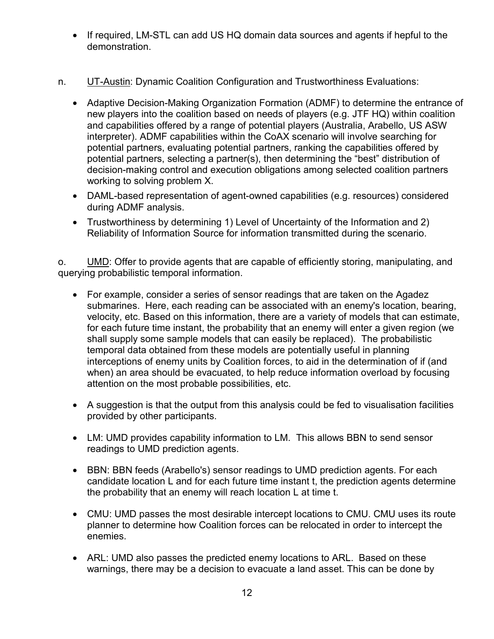- If required, LM-STL can add US HQ domain data sources and agents if hepful to the demonstration.
- n. UT-Austin: Dynamic Coalition Configuration and Trustworthiness Evaluations:
	- Adaptive Decision-Making Organization Formation (ADMF) to determine the entrance of new players into the coalition based on needs of players (e.g. JTF HQ) within coalition and capabilities offered by a range of potential players (Australia, Arabello, US ASW interpreter). ADMF capabilities within the CoAX scenario will involve searching for potential partners, evaluating potential partners, ranking the capabilities offered by potential partners, selecting a partner(s), then determining the "best" distribution of decision-making control and execution obligations among selected coalition partners working to solving problem X.
	- DAML-based representation of agent-owned capabilities (e.g. resources) considered during ADMF analysis.
	- Trustworthiness by determining 1) Level of Uncertainty of the Information and 2) Reliability of Information Source for information transmitted during the scenario.

o. UMD: Offer to provide agents that are capable of efficiently storing, manipulating, and querying probabilistic temporal information.

- For example, consider a series of sensor readings that are taken on the Agadez submarines. Here, each reading can be associated with an enemy's location, bearing, velocity, etc. Based on this information, there are a variety of models that can estimate, for each future time instant, the probability that an enemy will enter a given region (we shall supply some sample models that can easily be replaced). The probabilistic temporal data obtained from these models are potentially useful in planning interceptions of enemy units by Coalition forces, to aid in the determination of if (and when) an area should be evacuated, to help reduce information overload by focusing attention on the most probable possibilities, etc.
- A suggestion is that the output from this analysis could be fed to visualisation facilities provided by other participants.
- LM: UMD provides capability information to LM. This allows BBN to send sensor readings to UMD prediction agents.
- BBN: BBN feeds (Arabello's) sensor readings to UMD prediction agents. For each candidate location L and for each future time instant t, the prediction agents determine the probability that an enemy will reach location L at time t.
- CMU: UMD passes the most desirable intercept locations to CMU. CMU uses its route planner to determine how Coalition forces can be relocated in order to intercept the enemies.
- ARL: UMD also passes the predicted enemy locations to ARL. Based on these warnings, there may be a decision to evacuate a land asset. This can be done by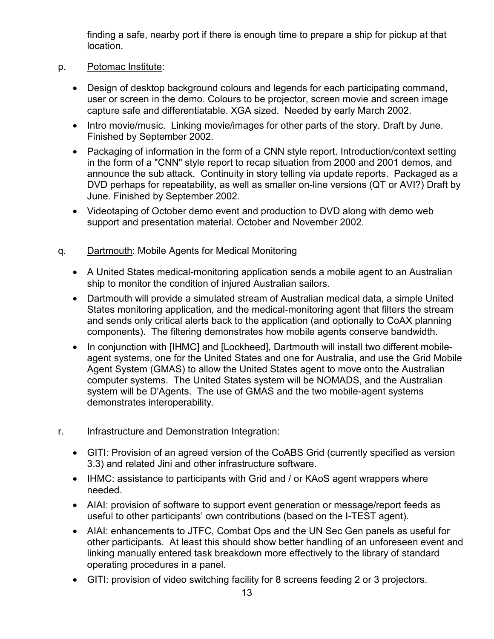finding a safe, nearby port if there is enough time to prepare a ship for pickup at that location.

- p. Potomac Institute:
	- Design of desktop background colours and legends for each participating command, user or screen in the demo. Colours to be projector, screen movie and screen image capture safe and differentiatable. XGA sized. Needed by early March 2002.
	- Intro movie/music. Linking movie/images for other parts of the story. Draft by June. Finished by September 2002.
	- Packaging of information in the form of a CNN style report. Introduction/context setting in the form of a "CNN" style report to recap situation from 2000 and 2001 demos, and announce the sub attack. Continuity in story telling via update reports. Packaged as a DVD perhaps for repeatability, as well as smaller on-line versions (QT or AVI?) Draft by June. Finished by September 2002.
	- Videotaping of October demo event and production to DVD along with demo web support and presentation material. October and November 2002.
- q. Dartmouth: Mobile Agents for Medical Monitoring
	- A United States medical-monitoring application sends a mobile agent to an Australian ship to monitor the condition of injured Australian sailors.
	- Dartmouth will provide a simulated stream of Australian medical data, a simple United States monitoring application, and the medical-monitoring agent that filters the stream and sends only critical alerts back to the application (and optionally to CoAX planning components). The filtering demonstrates how mobile agents conserve bandwidth.
	- In conjunction with [IHMC] and [Lockheed], Dartmouth will install two different mobileagent systems, one for the United States and one for Australia, and use the Grid Mobile Agent System (GMAS) to allow the United States agent to move onto the Australian computer systems. The United States system will be NOMADS, and the Australian system will be D'Agents. The use of GMAS and the two mobile-agent systems demonstrates interoperability.
- r. Infrastructure and Demonstration Integration:
	- GITI: Provision of an agreed version of the CoABS Grid (currently specified as version 3.3) and related Jini and other infrastructure software.
	- IHMC: assistance to participants with Grid and / or KAoS agent wrappers where needed.
	- AIAI: provision of software to support event generation or message/report feeds as useful to other participants' own contributions (based on the I-TEST agent).
	- AIAI: enhancements to JTFC, Combat Ops and the UN Sec Gen panels as useful for other participants. At least this should show better handling of an unforeseen event and linking manually entered task breakdown more effectively to the library of standard operating procedures in a panel.
	- GITI: provision of video switching facility for 8 screens feeding 2 or 3 projectors.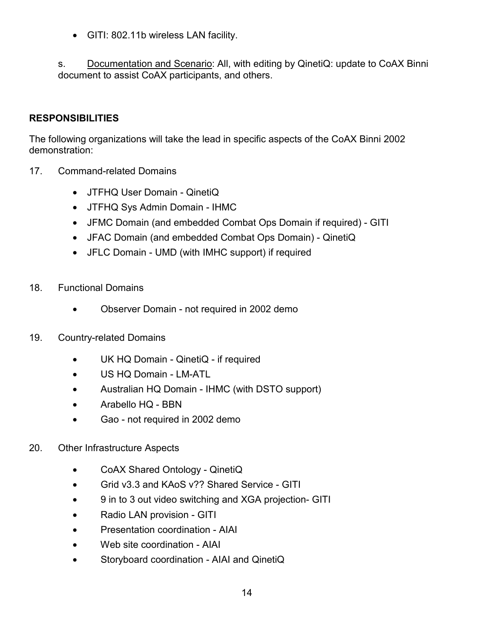• GITI: 802.11b wireless LAN facility.

s. Documentation and Scenario: All, with editing by QinetiQ: update to CoAX Binni document to assist CoAX participants, and others.

## **RESPONSIBILITIES**

The following organizations will take the lead in specific aspects of the CoAX Binni 2002 demonstration:

- 17. Command-related Domains
	- JTFHQ User Domain QinetiQ
	- JTFHQ Sys Admin Domain IHMC
	- JFMC Domain (and embedded Combat Ops Domain if required) GITI
	- JFAC Domain (and embedded Combat Ops Domain) QinetiQ
	- JFLC Domain UMD (with IMHC support) if required
- 18. Functional Domains
	- Observer Domain not required in 2002 demo
- 19. Country-related Domains
	- UK HQ Domain QinetiQ if required
	- US HQ Domain LM-ATL
	- Australian HQ Domain IHMC (with DSTO support)
	- Arabello HQ BBN
	- Gao not required in 2002 demo
- 20. Other Infrastructure Aspects
	- CoAX Shared Ontology QinetiQ
	- Grid v3.3 and KAoS v?? Shared Service GITI
	- 9 in to 3 out video switching and XGA projection- GITI
	- Radio LAN provision GITI
	- Presentation coordination AIAI
	- Web site coordination AIAI
	- Storyboard coordination AIAI and QinetiQ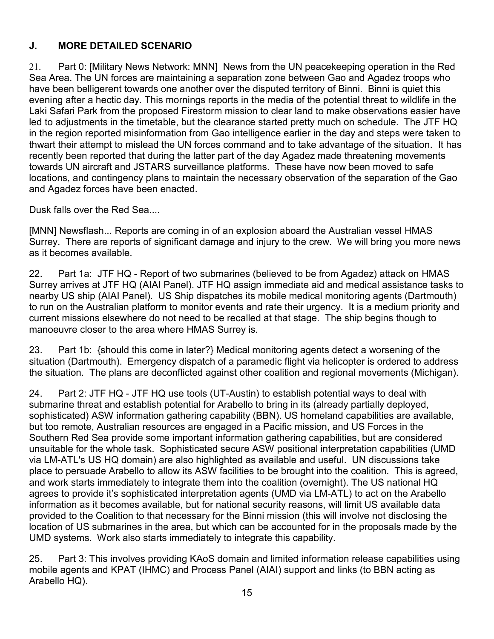# **J. MORE DETAILED SCENARIO**

21. Part 0: [Military News Network: MNN] News from the UN peacekeeping operation in the Red Sea Area. The UN forces are maintaining a separation zone between Gao and Agadez troops who have been belligerent towards one another over the disputed territory of Binni. Binni is quiet this evening after a hectic day. This mornings reports in the media of the potential threat to wildlife in the Laki Safari Park from the proposed Firestorm mission to clear land to make observations easier have led to adjustments in the timetable, but the clearance started pretty much on schedule. The JTF HQ in the region reported misinformation from Gao intelligence earlier in the day and steps were taken to thwart their attempt to mislead the UN forces command and to take advantage of the situation. It has recently been reported that during the latter part of the day Agadez made threatening movements towards UN aircraft and JSTARS surveillance platforms. These have now been moved to safe locations, and contingency plans to maintain the necessary observation of the separation of the Gao and Agadez forces have been enacted.

Dusk falls over the Red Sea....

[MNN] Newsflash... Reports are coming in of an explosion aboard the Australian vessel HMAS Surrey. There are reports of significant damage and injury to the crew. We will bring you more news as it becomes available.

22. Part 1a: JTF HQ - Report of two submarines (believed to be from Agadez) attack on HMAS Surrey arrives at JTF HQ (AIAI Panel). JTF HQ assign immediate aid and medical assistance tasks to nearby US ship (AIAI Panel). US Ship dispatches its mobile medical monitoring agents (Dartmouth) to run on the Australian platform to monitor events and rate their urgency. It is a medium priority and current missions elsewhere do not need to be recalled at that stage. The ship begins though to manoeuvre closer to the area where HMAS Surrey is.

23. Part 1b: {should this come in later?} Medical monitoring agents detect a worsening of the situation (Dartmouth). Emergency dispatch of a paramedic flight via helicopter is ordered to address the situation. The plans are deconflicted against other coalition and regional movements (Michigan).

24. Part 2: JTF HQ - JTF HQ use tools (UT-Austin) to establish potential ways to deal with submarine threat and establish potential for Arabello to bring in its (already partially deployed, sophisticated) ASW information gathering capability (BBN). US homeland capabilities are available, but too remote, Australian resources are engaged in a Pacific mission, and US Forces in the Southern Red Sea provide some important information gathering capabilities, but are considered unsuitable for the whole task. Sophisticated secure ASW positional interpretation capabilities (UMD via LM-ATL's US HQ domain) are also highlighted as available and useful. UN discussions take place to persuade Arabello to allow its ASW facilities to be brought into the coalition. This is agreed, and work starts immediately to integrate them into the coalition (overnight). The US national HQ agrees to provide it's sophisticated interpretation agents (UMD via LM-ATL) to act on the Arabello information as it becomes available, but for national security reasons, will limit US available data provided to the Coalition to that necessary for the Binni mission (this will involve not disclosing the location of US submarines in the area, but which can be accounted for in the proposals made by the UMD systems. Work also starts immediately to integrate this capability.

25. Part 3: This involves providing KAoS domain and limited information release capabilities using mobile agents and KPAT (IHMC) and Process Panel (AIAI) support and links (to BBN acting as Arabello HQ).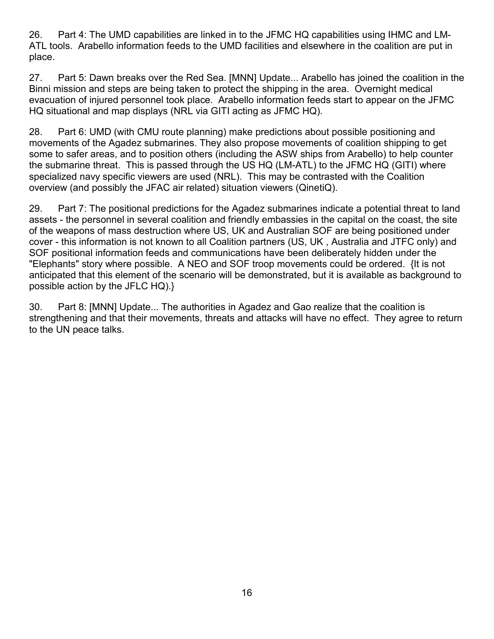26. Part 4: The UMD capabilities are linked in to the JFMC HQ capabilities using IHMC and LM-ATL tools. Arabello information feeds to the UMD facilities and elsewhere in the coalition are put in place.

27. Part 5: Dawn breaks over the Red Sea. [MNN] Update... Arabello has joined the coalition in the Binni mission and steps are being taken to protect the shipping in the area. Overnight medical evacuation of injured personnel took place. Arabello information feeds start to appear on the JFMC HQ situational and map displays (NRL via GITI acting as JFMC HQ).

28. Part 6: UMD (with CMU route planning) make predictions about possible positioning and movements of the Agadez submarines. They also propose movements of coalition shipping to get some to safer areas, and to position others (including the ASW ships from Arabello) to help counter the submarine threat. This is passed through the US HQ (LM-ATL) to the JFMC HQ (GITI) where specialized navy specific viewers are used (NRL). This may be contrasted with the Coalition overview (and possibly the JFAC air related) situation viewers (QinetiQ).

29. Part 7: The positional predictions for the Agadez submarines indicate a potential threat to land assets - the personnel in several coalition and friendly embassies in the capital on the coast, the site of the weapons of mass destruction where US, UK and Australian SOF are being positioned under cover - this information is not known to all Coalition partners (US, UK , Australia and JTFC only) and SOF positional information feeds and communications have been deliberately hidden under the "Elephants" story where possible. A NEO and SOF troop movements could be ordered. {It is not anticipated that this element of the scenario will be demonstrated, but it is available as background to possible action by the JFLC HQ).}

30. Part 8: [MNN] Update... The authorities in Agadez and Gao realize that the coalition is strengthening and that their movements, threats and attacks will have no effect. They agree to return to the UN peace talks.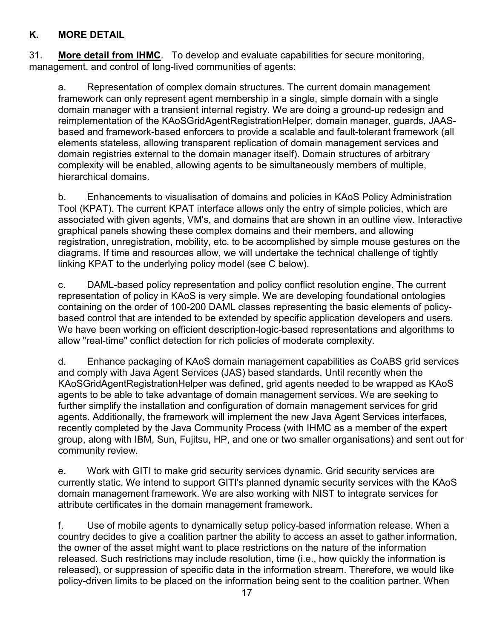## **K. MORE DETAIL**

31. **More detail from IHMC**. To develop and evaluate capabilities for secure monitoring, management, and control of long-lived communities of agents:

a. Representation of complex domain structures. The current domain management framework can only represent agent membership in a single, simple domain with a single domain manager with a transient internal registry. We are doing a ground-up redesign and reimplementation of the KAoSGridAgentRegistrationHelper, domain manager, guards, JAASbased and framework-based enforcers to provide a scalable and fault-tolerant framework (all elements stateless, allowing transparent replication of domain management services and domain registries external to the domain manager itself). Domain structures of arbitrary complexity will be enabled, allowing agents to be simultaneously members of multiple, hierarchical domains.

b. Enhancements to visualisation of domains and policies in KAoS Policy Administration Tool (KPAT). The current KPAT interface allows only the entry of simple policies, which are associated with given agents, VM's, and domains that are shown in an outline view. Interactive graphical panels showing these complex domains and their members, and allowing registration, unregistration, mobility, etc. to be accomplished by simple mouse gestures on the diagrams. If time and resources allow, we will undertake the technical challenge of tightly linking KPAT to the underlying policy model (see C below).

c. DAML-based policy representation and policy conflict resolution engine. The current representation of policy in KAoS is very simple. We are developing foundational ontologies containing on the order of 100-200 DAML classes representing the basic elements of policybased control that are intended to be extended by specific application developers and users. We have been working on efficient description-logic-based representations and algorithms to allow "real-time" conflict detection for rich policies of moderate complexity.

d. Enhance packaging of KAoS domain management capabilities as CoABS grid services and comply with Java Agent Services (JAS) based standards. Until recently when the KAoSGridAgentRegistrationHelper was defined, grid agents needed to be wrapped as KAoS agents to be able to take advantage of domain management services. We are seeking to further simplify the installation and configuration of domain management services for grid agents. Additionally, the framework will implement the new Java Agent Services interfaces, recently completed by the Java Community Process (with IHMC as a member of the expert group, along with IBM, Sun, Fujitsu, HP, and one or two smaller organisations) and sent out for community review.

e. Work with GITI to make grid security services dynamic. Grid security services are currently static. We intend to support GITI's planned dynamic security services with the KAoS domain management framework. We are also working with NIST to integrate services for attribute certificates in the domain management framework.

f. Use of mobile agents to dynamically setup policy-based information release. When a country decides to give a coalition partner the ability to access an asset to gather information, the owner of the asset might want to place restrictions on the nature of the information released. Such restrictions may include resolution, time (i.e., how quickly the information is released), or suppression of specific data in the information stream. Therefore, we would like policy-driven limits to be placed on the information being sent to the coalition partner. When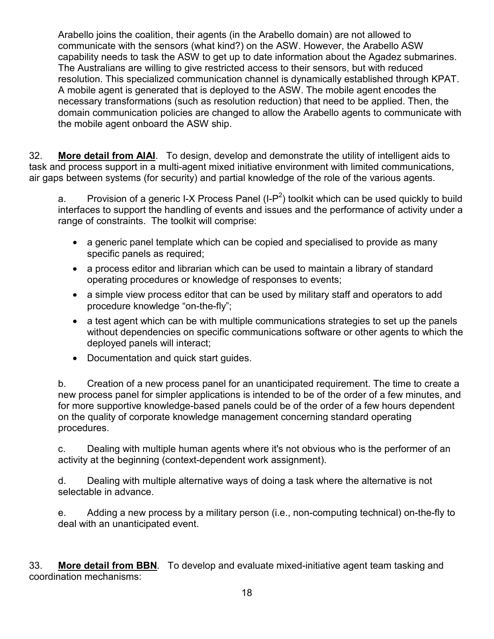Arabello joins the coalition, their agents (in the Arabello domain) are not allowed to communicate with the sensors (what kind?) on the ASW. However, the Arabello ASW capability needs to task the ASW to get up to date information about the Agadez submarines. The Australians are willing to give restricted access to their sensors, but with reduced resolution. This specialized communication channel is dynamically established through KPAT. A mobile agent is generated that is deployed to the ASW. The mobile agent encodes the necessary transformations (such as resolution reduction) that need to be applied. Then, the domain communication policies are changed to allow the Arabello agents to communicate with the mobile agent onboard the ASW ship.

32. **More detail from AIAI**. To design, develop and demonstrate the utility of intelligent aids to task and process support in a multi-agent mixed initiative environment with limited communications, air gaps between systems (for security) and partial knowledge of the role of the various agents.

a. Provision of a generic I-X Process Panel (I-P<sup>2</sup>) toolkit which can be used quickly to build interfaces to support the handling of events and issues and the performance of activity under a range of constraints. The toolkit will comprise:

- a generic panel template which can be copied and specialised to provide as many specific panels as required;
- a process editor and librarian which can be used to maintain a library of standard operating procedures or knowledge of responses to events;
- a simple view process editor that can be used by military staff and operators to add procedure knowledge "on-the-fly";
- a test agent which can be with multiple communications strategies to set up the panels without dependencies on specific communications software or other agents to which the deployed panels will interact;
- Documentation and quick start guides.

b. Creation of a new process panel for an unanticipated requirement. The time to create a new process panel for simpler applications is intended to be of the order of a few minutes, and for more supportive knowledge-based panels could be of the order of a few hours dependent on the quality of corporate knowledge management concerning standard operating procedures.

c. Dealing with multiple human agents where it's not obvious who is the performer of an activity at the beginning (context-dependent work assignment).

d. Dealing with multiple alternative ways of doing a task where the alternative is not selectable in advance.

e. Adding a new process by a military person (i.e., non-computing technical) on-the-fly to deal with an unanticipated event.

33. **More detail from BBN**. To develop and evaluate mixed-initiative agent team tasking and coordination mechanisms: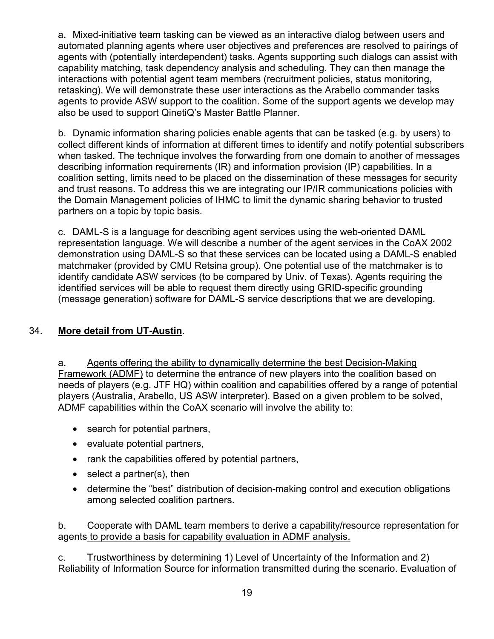a. Mixed-initiative team tasking can be viewed as an interactive dialog between users and automated planning agents where user objectives and preferences are resolved to pairings of agents with (potentially interdependent) tasks. Agents supporting such dialogs can assist with capability matching, task dependency analysis and scheduling. They can then manage the interactions with potential agent team members (recruitment policies, status monitoring, retasking). We will demonstrate these user interactions as the Arabello commander tasks agents to provide ASW support to the coalition. Some of the support agents we develop may also be used to support QinetiQ's Master Battle Planner.

b. Dynamic information sharing policies enable agents that can be tasked (e.g. by users) to collect different kinds of information at different times to identify and notify potential subscribers when tasked. The technique involves the forwarding from one domain to another of messages describing information requirements (IR) and information provision (IP) capabilities. In a coalition setting, limits need to be placed on the dissemination of these messages for security and trust reasons. To address this we are integrating our IP/IR communications policies with the Domain Management policies of IHMC to limit the dynamic sharing behavior to trusted partners on a topic by topic basis.

c. DAML-S is a language for describing agent services using the web-oriented DAML representation language. We will describe a number of the agent services in the CoAX 2002 demonstration using DAML-S so that these services can be located using a DAML-S enabled matchmaker (provided by CMU Retsina group). One potential use of the matchmaker is to identify candidate ASW services (to be compared by Univ. of Texas). Agents requiring the identified services will be able to request them directly using GRID-specific grounding (message generation) software for DAML-S service descriptions that we are developing.

#### 34. **More detail from UT-Austin**.

a. Agents offering the ability to dynamically determine the best Decision-Making Framework (ADMF) to determine the entrance of new players into the coalition based on needs of players (e.g. JTF HQ) within coalition and capabilities offered by a range of potential players (Australia, Arabello, US ASW interpreter). Based on a given problem to be solved, ADMF capabilities within the CoAX scenario will involve the ability to:

- search for potential partners,
- evaluate potential partners,
- rank the capabilities offered by potential partners,
- select a partner(s), then
- determine the "best" distribution of decision-making control and execution obligations among selected coalition partners.

b. Cooperate with DAML team members to derive a capability/resource representation for agents to provide a basis for capability evaluation in ADMF analysis.

c. Trustworthiness by determining 1) Level of Uncertainty of the Information and 2) Reliability of Information Source for information transmitted during the scenario. Evaluation of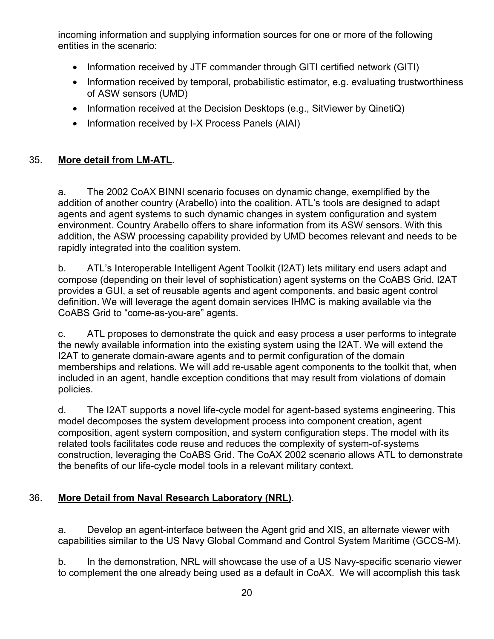incoming information and supplying information sources for one or more of the following entities in the scenario:

- Information received by JTF commander through GITI certified network (GITI)
- Information received by temporal, probabilistic estimator, e.g. evaluating trustworthiness of ASW sensors (UMD)
- Information received at the Decision Desktops (e.g., SitViewer by QinetiQ)
- Information received by I-X Process Panels (AIAI)

## 35. **More detail from LM-ATL**.

a. The 2002 CoAX BINNI scenario focuses on dynamic change, exemplified by the addition of another country (Arabello) into the coalition. ATL's tools are designed to adapt agents and agent systems to such dynamic changes in system configuration and system environment. Country Arabello offers to share information from its ASW sensors. With this addition, the ASW processing capability provided by UMD becomes relevant and needs to be rapidly integrated into the coalition system.

b. ATL's Interoperable Intelligent Agent Toolkit (I2AT) lets military end users adapt and compose (depending on their level of sophistication) agent systems on the CoABS Grid. I2AT provides a GUI, a set of reusable agents and agent components, and basic agent control definition. We will leverage the agent domain services IHMC is making available via the CoABS Grid to "come-as-you-are" agents.

c. ATL proposes to demonstrate the quick and easy process a user performs to integrate the newly available information into the existing system using the I2AT. We will extend the I2AT to generate domain-aware agents and to permit configuration of the domain memberships and relations. We will add re-usable agent components to the toolkit that, when included in an agent, handle exception conditions that may result from violations of domain policies.

d. The I2AT supports a novel life-cycle model for agent-based systems engineering. This model decomposes the system development process into component creation, agent composition, agent system composition, and system configuration steps. The model with its related tools facilitates code reuse and reduces the complexity of system-of-systems construction, leveraging the CoABS Grid. The CoAX 2002 scenario allows ATL to demonstrate the benefits of our life-cycle model tools in a relevant military context.

# 36. **More Detail from Naval Research Laboratory (NRL)**.

a. Develop an agent-interface between the Agent grid and XIS, an alternate viewer with capabilities similar to the US Navy Global Command and Control System Maritime (GCCS-M).

b. In the demonstration, NRL will showcase the use of a US Navy-specific scenario viewer to complement the one already being used as a default in CoAX. We will accomplish this task